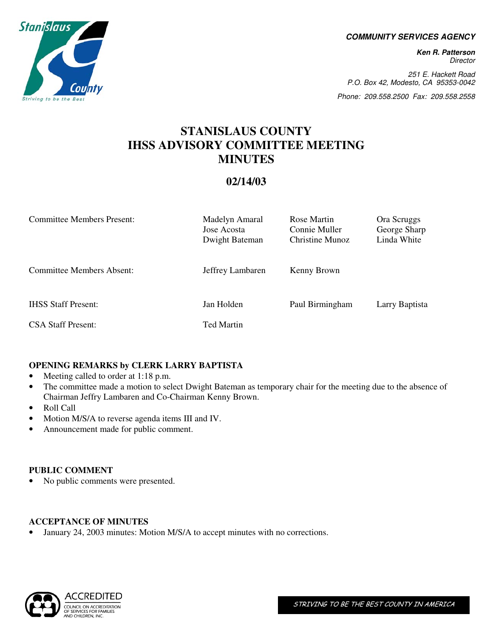**COMMUNITY SERVICES AGENCY** 

**Ken R. Patterson**  Director

251 E. Hackett Road P.O. Box 42, Modesto, CA 95353-0042

Phone: 209.558.2500 Fax: 209.558.2558

# **STANISLAUS COUNTY IHSS ADVISORY COMMITTEE MEETING MINUTES**

## **02/14/03**

| <b>Committee Members Present:</b> | Madelyn Amaral<br>Jose Acosta<br>Dwight Bateman | Rose Martin<br>Connie Muller<br>Christine Munoz | Ora Scruggs<br>George Sharp<br>Linda White |
|-----------------------------------|-------------------------------------------------|-------------------------------------------------|--------------------------------------------|
| Committee Members Absent:         | Jeffrey Lambaren                                | Kenny Brown                                     |                                            |
| <b>IHSS Staff Present:</b>        | Jan Holden                                      | Paul Birmingham                                 | Larry Baptista                             |
| <b>CSA Staff Present:</b>         | <b>Ted Martin</b>                               |                                                 |                                            |

## **OPENING REMARKS by CLERK LARRY BAPTISTA**

- Meeting called to order at 1:18 p.m.
- The committee made a motion to select Dwight Bateman as temporary chair for the meeting due to the absence of Chairman Jeffry Lambaren and Co-Chairman Kenny Brown.
- Roll Call

**Stanislaus** 

Striving to be

- Motion M/S/A to reverse agenda items III and IV.
- Announcement made for public comment.

## **PUBLIC COMMENT**

• No public comments were presented.

## **ACCEPTANCE OF MINUTES**

January 24, 2003 minutes: Motion M/S/A to accept minutes with no corrections.

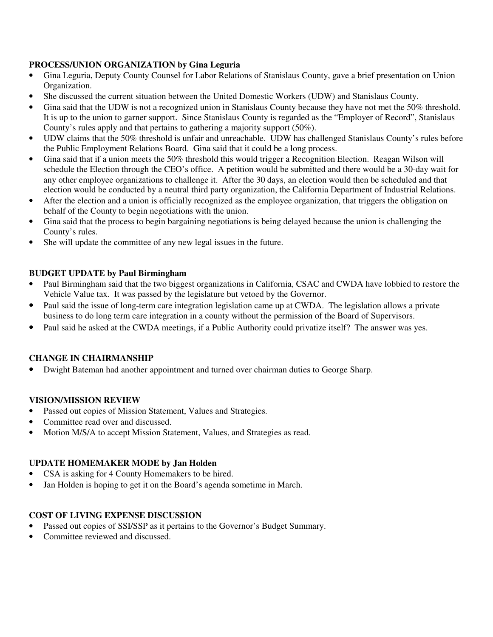## **PROCESS/UNION ORGANIZATION by Gina Leguria**

- Gina Leguria, Deputy County Counsel for Labor Relations of Stanislaus County, gave a brief presentation on Union Organization.
- She discussed the current situation between the United Domestic Workers (UDW) and Stanislaus County.
- Gina said that the UDW is not a recognized union in Stanislaus County because they have not met the 50% threshold. It is up to the union to garner support. Since Stanislaus County is regarded as the "Employer of Record", Stanislaus County's rules apply and that pertains to gathering a majority support (50%).
- UDW claims that the 50% threshold is unfair and unreachable. UDW has challenged Stanislaus County's rules before the Public Employment Relations Board. Gina said that it could be a long process.
- Gina said that if a union meets the 50% threshold this would trigger a Recognition Election. Reagan Wilson will schedule the Election through the CEO's office. A petition would be submitted and there would be a 30-day wait for any other employee organizations to challenge it. After the 30 days, an election would then be scheduled and that election would be conducted by a neutral third party organization, the California Department of Industrial Relations.
- After the election and a union is officially recognized as the employee organization, that triggers the obligation on behalf of the County to begin negotiations with the union.
- Gina said that the process to begin bargaining negotiations is being delayed because the union is challenging the County's rules.
- She will update the committee of any new legal issues in the future.

#### **BUDGET UPDATE by Paul Birmingham**

- Paul Birmingham said that the two biggest organizations in California, CSAC and CWDA have lobbied to restore the Vehicle Value tax. It was passed by the legislature but vetoed by the Governor.
- Paul said the issue of long-term care integration legislation came up at CWDA. The legislation allows a private business to do long term care integration in a county without the permission of the Board of Supervisors.
- Paul said he asked at the CWDA meetings, if a Public Authority could privatize itself? The answer was yes.

## **CHANGE IN CHAIRMANSHIP**

• Dwight Bateman had another appointment and turned over chairman duties to George Sharp.

#### **VISION/MISSION REVIEW**

- Passed out copies of Mission Statement, Values and Strategies.
- Committee read over and discussed.
- Motion M/S/A to accept Mission Statement, Values, and Strategies as read.

## **UPDATE HOMEMAKER MODE by Jan Holden**

- CSA is asking for 4 County Homemakers to be hired.
- Jan Holden is hoping to get it on the Board's agenda sometime in March.

## **COST OF LIVING EXPENSE DISCUSSION**

- Passed out copies of SSI/SSP as it pertains to the Governor's Budget Summary.
- Committee reviewed and discussed.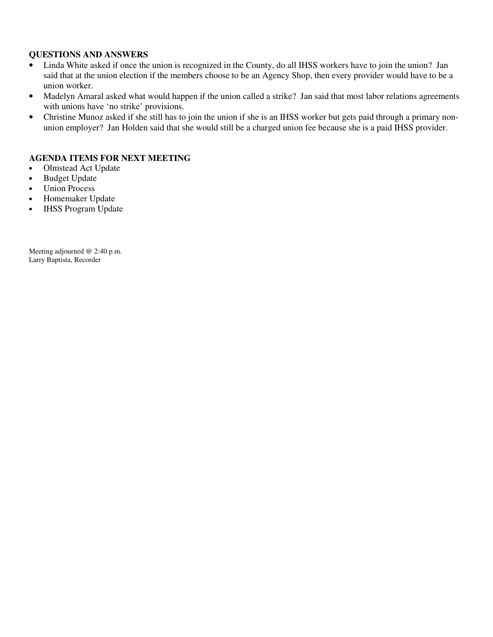#### **QUESTIONS AND ANSWERS**

- Linda White asked if once the union is recognized in the County, do all IHSS workers have to join the union? Jan said that at the union election if the members choose to be an Agency Shop, then every provider would have to be a union worker.
- Madelyn Amaral asked what would happen if the union called a strike? Jan said that most labor relations agreements with unions have 'no strike' provisions.
- Christine Munoz asked if she still has to join the union if she is an IHSS worker but gets paid through a primary nonunion employer? Jan Holden said that she would still be a charged union fee because she is a paid IHSS provider.

#### **AGENDA ITEMS FOR NEXT MEETING**

- Olmstead Act Update
- Budget Update
- Union Process
- Homemaker Update
- IHSS Program Update

Meeting adjourned @ 2:40 p.m. Larry Baptista, Recorder